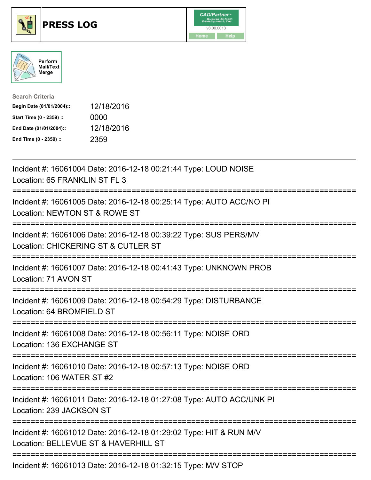





| <b>Search Criteria</b>    |            |
|---------------------------|------------|
| Begin Date (01/01/2004):: | 12/18/2016 |
| Start Time (0 - 2359) ::  | 0000       |
| End Date (01/01/2004)::   | 12/18/2016 |
| End Time (0 - 2359) ::    | 2359       |

| Incident #: 16061004 Date: 2016-12-18 00:21:44 Type: LOUD NOISE<br>Location: 65 FRANKLIN ST FL 3           |
|------------------------------------------------------------------------------------------------------------|
| Incident #: 16061005 Date: 2016-12-18 00:25:14 Type: AUTO ACC/NO PI<br>Location: NEWTON ST & ROWE ST       |
| Incident #: 16061006 Date: 2016-12-18 00:39:22 Type: SUS PERS/MV<br>Location: CHICKERING ST & CUTLER ST    |
| Incident #: 16061007 Date: 2016-12-18 00:41:43 Type: UNKNOWN PROB<br>Location: 71 AVON ST                  |
| Incident #: 16061009 Date: 2016-12-18 00:54:29 Type: DISTURBANCE<br>Location: 64 BROMFIELD ST              |
| Incident #: 16061008 Date: 2016-12-18 00:56:11 Type: NOISE ORD<br>Location: 136 EXCHANGE ST                |
| Incident #: 16061010 Date: 2016-12-18 00:57:13 Type: NOISE ORD<br>Location: 106 WATER ST #2                |
| Incident #: 16061011 Date: 2016-12-18 01:27:08 Type: AUTO ACC/UNK PI<br>Location: 239 JACKSON ST           |
| Incident #: 16061012 Date: 2016-12-18 01:29:02 Type: HIT & RUN M/V<br>Location: BELLEVUE ST & HAVERHILL ST |
| Incident #: 16061013 Date: 2016-12-18 01:32:15 Type: M/V STOP                                              |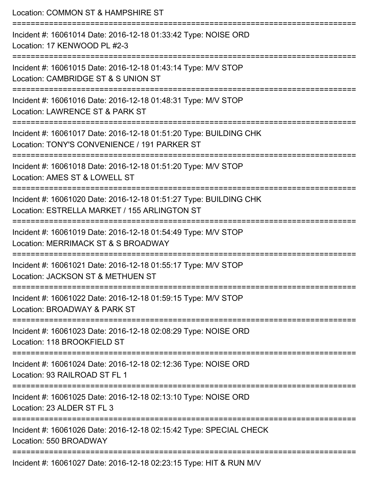| Location: COMMON ST & HAMPSHIRE ST                                                                                                          |
|---------------------------------------------------------------------------------------------------------------------------------------------|
| Incident #: 16061014 Date: 2016-12-18 01:33:42 Type: NOISE ORD<br>Location: 17 KENWOOD PL #2-3                                              |
| Incident #: 16061015 Date: 2016-12-18 01:43:14 Type: M/V STOP<br>Location: CAMBRIDGE ST & S UNION ST                                        |
| Incident #: 16061016 Date: 2016-12-18 01:48:31 Type: M/V STOP<br>Location: LAWRENCE ST & PARK ST                                            |
| Incident #: 16061017 Date: 2016-12-18 01:51:20 Type: BUILDING CHK<br>Location: TONY'S CONVENIENCE / 191 PARKER ST                           |
| Incident #: 16061018 Date: 2016-12-18 01:51:20 Type: M/V STOP<br>Location: AMES ST & LOWELL ST                                              |
| ----------------------<br>Incident #: 16061020 Date: 2016-12-18 01:51:27 Type: BUILDING CHK<br>Location: ESTRELLA MARKET / 155 ARLINGTON ST |
| Incident #: 16061019 Date: 2016-12-18 01:54:49 Type: M/V STOP<br>Location: MERRIMACK ST & S BROADWAY                                        |
| Incident #: 16061021 Date: 2016-12-18 01:55:17 Type: M/V STOP<br>Location: JACKSON ST & METHUEN ST                                          |
| Incident #: 16061022 Date: 2016-12-18 01:59:15 Type: M/V STOP<br>Location: BROADWAY & PARK ST                                               |
| Incident #: 16061023 Date: 2016-12-18 02:08:29 Type: NOISE ORD<br>Location: 118 BROOKFIELD ST                                               |
| Incident #: 16061024 Date: 2016-12-18 02:12:36 Type: NOISE ORD<br>Location: 93 RAILROAD ST FL 1                                             |
| Incident #: 16061025 Date: 2016-12-18 02:13:10 Type: NOISE ORD<br>Location: 23 ALDER ST FL 3                                                |
| Incident #: 16061026 Date: 2016-12-18 02:15:42 Type: SPECIAL CHECK<br>Location: 550 BROADWAY                                                |
| Incident #: 16061027 Date: 2016-12-18 02:23:15 Type: HIT & RUN M/V                                                                          |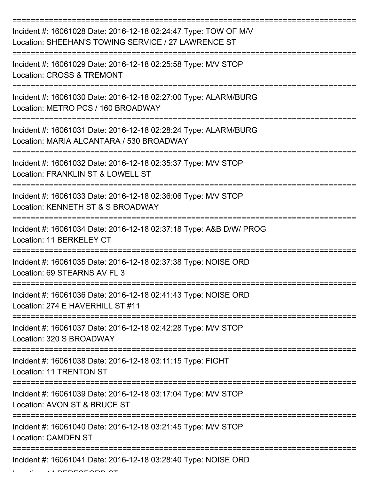| Incident #: 16061028 Date: 2016-12-18 02:24:47 Type: TOW OF M/V<br>Location: SHEEHAN'S TOWING SERVICE / 27 LAWRENCE ST |
|------------------------------------------------------------------------------------------------------------------------|
| Incident #: 16061029 Date: 2016-12-18 02:25:58 Type: M/V STOP<br>Location: CROSS & TREMONT                             |
| Incident #: 16061030 Date: 2016-12-18 02:27:00 Type: ALARM/BURG<br>Location: METRO PCS / 160 BROADWAY                  |
| Incident #: 16061031 Date: 2016-12-18 02:28:24 Type: ALARM/BURG<br>Location: MARIA ALCANTARA / 530 BROADWAY            |
| Incident #: 16061032 Date: 2016-12-18 02:35:37 Type: M/V STOP<br>Location: FRANKLIN ST & LOWELL ST                     |
| Incident #: 16061033 Date: 2016-12-18 02:36:06 Type: M/V STOP<br>Location: KENNETH ST & S BROADWAY                     |
| Incident #: 16061034 Date: 2016-12-18 02:37:18 Type: A&B D/W/ PROG<br>Location: 11 BERKELEY CT                         |
| Incident #: 16061035 Date: 2016-12-18 02:37:38 Type: NOISE ORD<br>Location: 69 STEARNS AV FL 3                         |
| Incident #: 16061036 Date: 2016-12-18 02:41:43 Type: NOISE ORD<br>Location: 274 E HAVERHILL ST #11                     |
| Incident #: 16061037 Date: 2016-12-18 02:42:28 Type: M/V STOP<br>Location: 320 S BROADWAY                              |
| Incident #: 16061038 Date: 2016-12-18 03:11:15 Type: FIGHT<br>Location: 11 TRENTON ST                                  |
| Incident #: 16061039 Date: 2016-12-18 03:17:04 Type: M/V STOP<br>Location: AVON ST & BRUCE ST                          |
| Incident #: 16061040 Date: 2016-12-18 03:21:45 Type: M/V STOP<br><b>Location: CAMDEN ST</b>                            |
| Incident #: 16061041 Date: 2016-12-18 03:28:40 Type: NOISE ORD                                                         |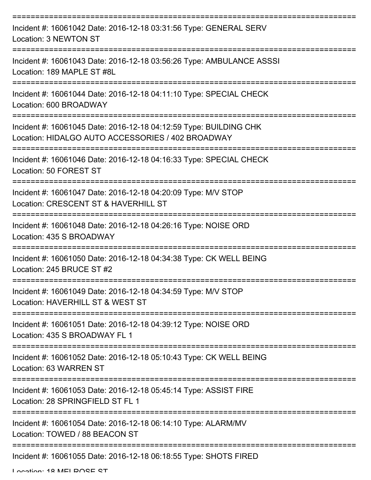| Incident #: 16061042 Date: 2016-12-18 03:31:56 Type: GENERAL SERV<br>Location: 3 NEWTON ST                             |
|------------------------------------------------------------------------------------------------------------------------|
| Incident #: 16061043 Date: 2016-12-18 03:56:26 Type: AMBULANCE ASSSI<br>Location: 189 MAPLE ST #8L                     |
| Incident #: 16061044 Date: 2016-12-18 04:11:10 Type: SPECIAL CHECK<br>Location: 600 BROADWAY                           |
| Incident #: 16061045 Date: 2016-12-18 04:12:59 Type: BUILDING CHK<br>Location: HIDALGO AUTO ACCESSORIES / 402 BROADWAY |
| Incident #: 16061046 Date: 2016-12-18 04:16:33 Type: SPECIAL CHECK<br>Location: 50 FOREST ST                           |
| Incident #: 16061047 Date: 2016-12-18 04:20:09 Type: M/V STOP<br>Location: CRESCENT ST & HAVERHILL ST                  |
| Incident #: 16061048 Date: 2016-12-18 04:26:16 Type: NOISE ORD<br>Location: 435 S BROADWAY                             |
| Incident #: 16061050 Date: 2016-12-18 04:34:38 Type: CK WELL BEING<br>Location: 245 BRUCE ST #2                        |
| Incident #: 16061049 Date: 2016-12-18 04:34:59 Type: M/V STOP<br>Location: HAVERHILL ST & WEST ST                      |
| Incident #: 16061051 Date: 2016-12-18 04:39:12 Type: NOISE ORD<br>Location: 435 S BROADWAY FL 1                        |
| Incident #: 16061052 Date: 2016-12-18 05:10:43 Type: CK WELL BEING<br>Location: 63 WARREN ST                           |
| Incident #: 16061053 Date: 2016-12-18 05:45:14 Type: ASSIST FIRE<br>Location: 28 SPRINGFIELD ST FL 1                   |
| Incident #: 16061054 Date: 2016-12-18 06:14:10 Type: ALARM/MV<br>Location: TOWED / 88 BEACON ST                        |
| Incident #: 16061055 Date: 2016-12-18 06:18:55 Type: SHOTS FIRED                                                       |

Location: 19 MELDOCE CT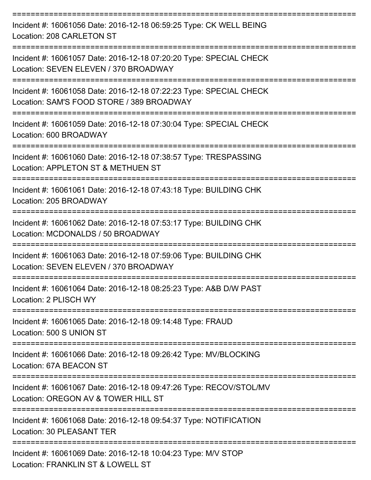| Incident #: 16061056 Date: 2016-12-18 06:59:25 Type: CK WELL BEING<br>Location: 208 CARLETON ST                 |
|-----------------------------------------------------------------------------------------------------------------|
| Incident #: 16061057 Date: 2016-12-18 07:20:20 Type: SPECIAL CHECK<br>Location: SEVEN ELEVEN / 370 BROADWAY     |
| Incident #: 16061058 Date: 2016-12-18 07:22:23 Type: SPECIAL CHECK<br>Location: SAM'S FOOD STORE / 389 BROADWAY |
| Incident #: 16061059 Date: 2016-12-18 07:30:04 Type: SPECIAL CHECK<br>Location: 600 BROADWAY                    |
| Incident #: 16061060 Date: 2016-12-18 07:38:57 Type: TRESPASSING<br>Location: APPLETON ST & METHUEN ST          |
| Incident #: 16061061 Date: 2016-12-18 07:43:18 Type: BUILDING CHK<br>Location: 205 BROADWAY                     |
| Incident #: 16061062 Date: 2016-12-18 07:53:17 Type: BUILDING CHK<br>Location: MCDONALDS / 50 BROADWAY          |
| Incident #: 16061063 Date: 2016-12-18 07:59:06 Type: BUILDING CHK<br>Location: SEVEN ELEVEN / 370 BROADWAY      |
| Incident #: 16061064 Date: 2016-12-18 08:25:23 Type: A&B D/W PAST<br>Location: 2 PLISCH WY                      |
| ================<br>Incident #: 16061065 Date: 2016-12-18 09:14:48 Type: FRAUD<br>Location: 500 S UNION ST      |
| Incident #: 16061066 Date: 2016-12-18 09:26:42 Type: MV/BLOCKING<br>Location: 67A BEACON ST                     |
| Incident #: 16061067 Date: 2016-12-18 09:47:26 Type: RECOV/STOL/MV<br>Location: OREGON AV & TOWER HILL ST       |
| Incident #: 16061068 Date: 2016-12-18 09:54:37 Type: NOTIFICATION<br>Location: 30 PLEASANT TER                  |
| Incident #: 16061069 Date: 2016-12-18 10:04:23 Type: M/V STOP<br>Location: FRANKLIN ST & LOWELL ST              |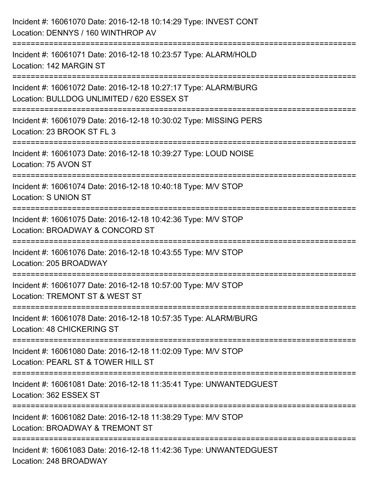| Incident #: 16061070 Date: 2016-12-18 10:14:29 Type: INVEST CONT<br>Location: DENNYS / 160 WINTHROP AV                              |
|-------------------------------------------------------------------------------------------------------------------------------------|
| Incident #: 16061071 Date: 2016-12-18 10:23:57 Type: ALARM/HOLD<br>Location: 142 MARGIN ST                                          |
| Incident #: 16061072 Date: 2016-12-18 10:27:17 Type: ALARM/BURG<br>Location: BULLDOG UNLIMITED / 620 ESSEX ST<br>================== |
| Incident #: 16061079 Date: 2016-12-18 10:30:02 Type: MISSING PERS<br>Location: 23 BROOK ST FL 3                                     |
| Incident #: 16061073 Date: 2016-12-18 10:39:27 Type: LOUD NOISE<br>Location: 75 AVON ST                                             |
| Incident #: 16061074 Date: 2016-12-18 10:40:18 Type: M/V STOP<br><b>Location: S UNION ST</b>                                        |
| Incident #: 16061075 Date: 2016-12-18 10:42:36 Type: M/V STOP<br>Location: BROADWAY & CONCORD ST                                    |
| Incident #: 16061076 Date: 2016-12-18 10:43:55 Type: M/V STOP<br>Location: 205 BROADWAY                                             |
| Incident #: 16061077 Date: 2016-12-18 10:57:00 Type: M/V STOP<br>Location: TREMONT ST & WEST ST                                     |
| Incident #: 16061078 Date: 2016-12-18 10:57:35 Type: ALARM/BURG<br>Location: 48 CHICKERING ST                                       |
| Incident #: 16061080 Date: 2016-12-18 11:02:09 Type: M/V STOP<br>Location: PEARL ST & TOWER HILL ST                                 |
| Incident #: 16061081 Date: 2016-12-18 11:35:41 Type: UNWANTEDGUEST<br>Location: 362 ESSEX ST                                        |
| Incident #: 16061082 Date: 2016-12-18 11:38:29 Type: M/V STOP<br>Location: BROADWAY & TREMONT ST                                    |
| Incident #: 16061083 Date: 2016-12-18 11:42:36 Type: UNWANTEDGUEST<br>Location: 248 BROADWAY                                        |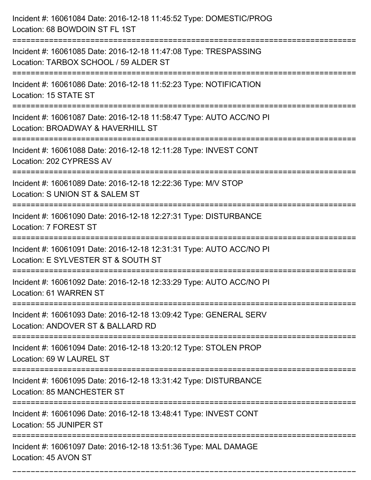| Incident #: 16061084 Date: 2016-12-18 11:45:52 Type: DOMESTIC/PROG<br>Location: 68 BOWDOIN ST FL 1ST                                                   |
|--------------------------------------------------------------------------------------------------------------------------------------------------------|
| Incident #: 16061085 Date: 2016-12-18 11:47:08 Type: TRESPASSING<br>Location: TARBOX SCHOOL / 59 ALDER ST                                              |
| Incident #: 16061086 Date: 2016-12-18 11:52:23 Type: NOTIFICATION<br>Location: 15 STATE ST                                                             |
| Incident #: 16061087 Date: 2016-12-18 11:58:47 Type: AUTO ACC/NO PI<br>Location: BROADWAY & HAVERHILL ST                                               |
| Incident #: 16061088 Date: 2016-12-18 12:11:28 Type: INVEST CONT<br>Location: 202 CYPRESS AV<br>=================================<br>================= |
| Incident #: 16061089 Date: 2016-12-18 12:22:36 Type: M/V STOP<br>Location: S UNION ST & SALEM ST                                                       |
| Incident #: 16061090 Date: 2016-12-18 12:27:31 Type: DISTURBANCE<br>Location: 7 FOREST ST                                                              |
| Incident #: 16061091 Date: 2016-12-18 12:31:31 Type: AUTO ACC/NO PI<br>Location: E SYLVESTER ST & SOUTH ST                                             |
| Incident #: 16061092 Date: 2016-12-18 12:33:29 Type: AUTO ACC/NO PI<br>Location: 61 WARREN ST                                                          |
| Incident #: 16061093 Date: 2016-12-18 13:09:42 Type: GENERAL SERV<br>Location: ANDOVER ST & BALLARD RD                                                 |
| Incident #: 16061094 Date: 2016-12-18 13:20:12 Type: STOLEN PROP<br>Location: 69 W LAUREL ST                                                           |
| Incident #: 16061095 Date: 2016-12-18 13:31:42 Type: DISTURBANCE<br>Location: 85 MANCHESTER ST                                                         |
| Incident #: 16061096 Date: 2016-12-18 13:48:41 Type: INVEST CONT<br>Location: 55 JUNIPER ST                                                            |
| Incident #: 16061097 Date: 2016-12-18 13:51:36 Type: MAL DAMAGE<br>Location: 45 AVON ST                                                                |

===========================================================================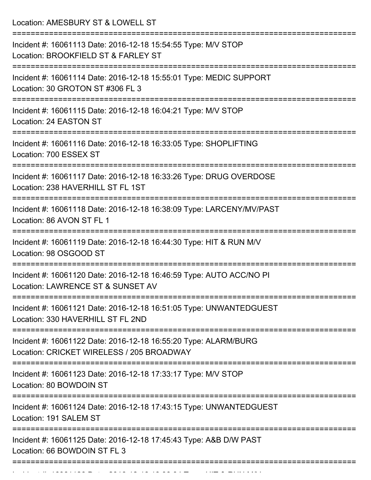Location: AMESBURY ST & LOWELL ST =========================================================================== Incident #: 16061113 Date: 2016-12-18 15:54:55 Type: M/V STOP Location: BROOKFIELD ST & FARLEY ST =========================================================================== Incident #: 16061114 Date: 2016-12-18 15:55:01 Type: MEDIC SUPPORT Location: 30 GROTON ST #306 FL 3 =========================================================================== Incident #: 16061115 Date: 2016-12-18 16:04:21 Type: M/V STOP Location: 24 EASTON ST =========================================================================== Incident #: 16061116 Date: 2016-12-18 16:33:05 Type: SHOPLIFTING Location: 700 ESSEX ST =========================================================================== Incident #: 16061117 Date: 2016-12-18 16:33:26 Type: DRUG OVERDOSE Location: 238 HAVERHILL ST FL 1ST =========================================================================== Incident #: 16061118 Date: 2016-12-18 16:38:09 Type: LARCENY/MV/PAST Location: 86 AVON ST FL 1 =========================================================================== Incident #: 16061119 Date: 2016-12-18 16:44:30 Type: HIT & RUN M/V Location: 98 OSGOOD ST =========================================================================== Incident #: 16061120 Date: 2016-12-18 16:46:59 Type: AUTO ACC/NO PI Location: LAWRENCE ST & SUNSET AV =========================================================================== Incident #: 16061121 Date: 2016-12-18 16:51:05 Type: UNWANTEDGUEST Location: 330 HAVERHILL ST FL 2ND =========================================================================== Incident #: 16061122 Date: 2016-12-18 16:55:20 Type: ALARM/BURG Location: CRICKET WIRELESS / 205 BROADWAY =========================================================================== Incident #: 16061123 Date: 2016-12-18 17:33:17 Type: M/V STOP Location: 80 BOWDOIN ST =========================================================================== Incident #: 16061124 Date: 2016-12-18 17:43:15 Type: UNWANTEDGUEST Location: 191 SALEM ST =========================================================================== Incident #: 16061125 Date: 2016-12-18 17:45:43 Type: A&B D/W PAST Location: 66 BOWDOIN ST FL 3 ===========================================================================

Incident #: 16061126 Date: 2016 12 18 18:06:04 Type: HIT & RUN M/V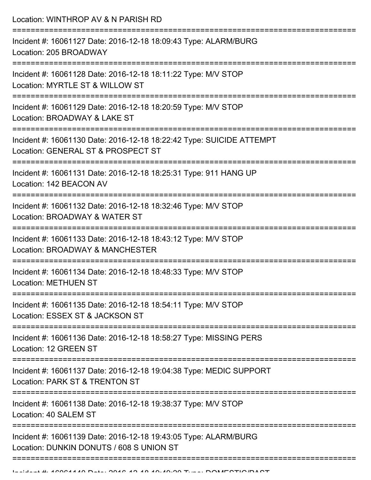Location: WINTHROP AV & N PARISH RD

| Incident #: 16061127 Date: 2016-12-18 18:09:43 Type: ALARM/BURG<br>Location: 205 BROADWAY                    |
|--------------------------------------------------------------------------------------------------------------|
| Incident #: 16061128 Date: 2016-12-18 18:11:22 Type: M/V STOP<br>Location: MYRTLE ST & WILLOW ST             |
| Incident #: 16061129 Date: 2016-12-18 18:20:59 Type: M/V STOP<br>Location: BROADWAY & LAKE ST                |
| Incident #: 16061130 Date: 2016-12-18 18:22:42 Type: SUICIDE ATTEMPT<br>Location: GENERAL ST & PROSPECT ST   |
| Incident #: 16061131 Date: 2016-12-18 18:25:31 Type: 911 HANG UP<br>Location: 142 BEACON AV<br>------------- |
| Incident #: 16061132 Date: 2016-12-18 18:32:46 Type: M/V STOP<br>Location: BROADWAY & WATER ST               |
| Incident #: 16061133 Date: 2016-12-18 18:43:12 Type: M/V STOP<br>Location: BROADWAY & MANCHESTER             |
| Incident #: 16061134 Date: 2016-12-18 18:48:33 Type: M/V STOP<br><b>Location: METHUEN ST</b>                 |
| Incident #: 16061135 Date: 2016-12-18 18:54:11 Type: M/V STOP<br>Location: ESSEX ST & JACKSON ST             |
| Incident #: 16061136 Date: 2016-12-18 18:58:27 Type: MISSING PERS<br>Location: 12 GREEN ST                   |
| Incident #: 16061137 Date: 2016-12-18 19:04:38 Type: MEDIC SUPPORT<br>Location: PARK ST & TRENTON ST         |
| Incident #: 16061138 Date: 2016-12-18 19:38:37 Type: M/V STOP<br>Location: 40 SALEM ST                       |
| Incident #: 16061139 Date: 2016-12-18 19:43:05 Type: ALARM/BURG<br>Location: DUNKIN DONUTS / 608 S UNION ST  |
|                                                                                                              |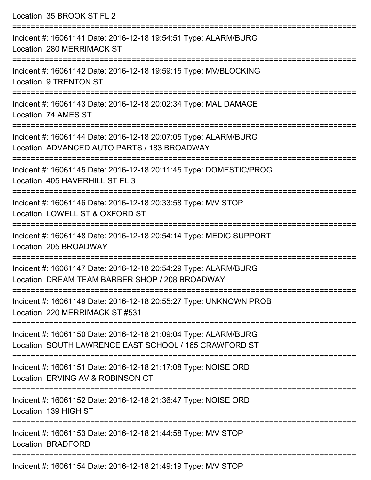| Location: 35 BROOK ST FL 2                                                                                                |
|---------------------------------------------------------------------------------------------------------------------------|
| Incident #: 16061141 Date: 2016-12-18 19:54:51 Type: ALARM/BURG<br>Location: 280 MERRIMACK ST                             |
| Incident #: 16061142 Date: 2016-12-18 19:59:15 Type: MV/BLOCKING<br><b>Location: 9 TRENTON ST</b>                         |
| Incident #: 16061143 Date: 2016-12-18 20:02:34 Type: MAL DAMAGE<br>Location: 74 AMES ST                                   |
| Incident #: 16061144 Date: 2016-12-18 20:07:05 Type: ALARM/BURG<br>Location: ADVANCED AUTO PARTS / 183 BROADWAY           |
| Incident #: 16061145 Date: 2016-12-18 20:11:45 Type: DOMESTIC/PROG<br>Location: 405 HAVERHILL ST FL 3                     |
| Incident #: 16061146 Date: 2016-12-18 20:33:58 Type: M/V STOP<br>Location: LOWELL ST & OXFORD ST                          |
| Incident #: 16061148 Date: 2016-12-18 20:54:14 Type: MEDIC SUPPORT<br>Location: 205 BROADWAY                              |
| Incident #: 16061147 Date: 2016-12-18 20:54:29 Type: ALARM/BURG<br>Location: DREAM TEAM BARBER SHOP / 208 BROADWAY        |
| Incident #: 16061149 Date: 2016-12-18 20:55:27 Type: UNKNOWN PROB<br>Location: 220 MERRIMACK ST #531                      |
| Incident #: 16061150 Date: 2016-12-18 21:09:04 Type: ALARM/BURG<br>Location: SOUTH LAWRENCE EAST SCHOOL / 165 CRAWFORD ST |
| Incident #: 16061151 Date: 2016-12-18 21:17:08 Type: NOISE ORD<br>Location: ERVING AV & ROBINSON CT                       |
| Incident #: 16061152 Date: 2016-12-18 21:36:47 Type: NOISE ORD<br>Location: 139 HIGH ST                                   |
| Incident #: 16061153 Date: 2016-12-18 21:44:58 Type: M/V STOP<br>Location: BRADFORD                                       |
| Incident #: 16061151 Dete: 2016 10 10 21:40:10 Type: MALCTOD                                                              |

Incident #: 16061154 Date: 2016-12-18 21:49:19 Type: M/V STOP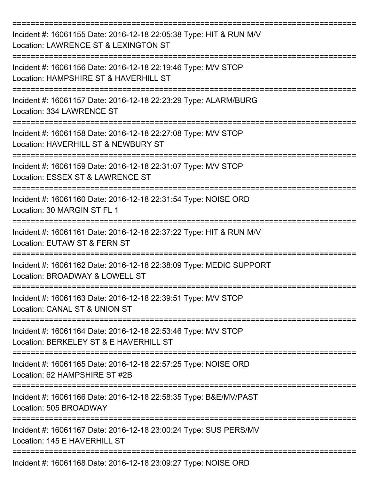| Incident #: 16061155 Date: 2016-12-18 22:05:38 Type: HIT & RUN M/V<br>Location: LAWRENCE ST & LEXINGTON ST |
|------------------------------------------------------------------------------------------------------------|
| Incident #: 16061156 Date: 2016-12-18 22:19:46 Type: M/V STOP<br>Location: HAMPSHIRE ST & HAVERHILL ST     |
| Incident #: 16061157 Date: 2016-12-18 22:23:29 Type: ALARM/BURG<br>Location: 334 LAWRENCE ST               |
| Incident #: 16061158 Date: 2016-12-18 22:27:08 Type: M/V STOP<br>Location: HAVERHILL ST & NEWBURY ST       |
| Incident #: 16061159 Date: 2016-12-18 22:31:07 Type: M/V STOP<br>Location: ESSEX ST & LAWRENCE ST          |
| Incident #: 16061160 Date: 2016-12-18 22:31:54 Type: NOISE ORD<br>Location: 30 MARGIN ST FL 1              |
| Incident #: 16061161 Date: 2016-12-18 22:37:22 Type: HIT & RUN M/V<br>Location: EUTAW ST & FERN ST         |
| Incident #: 16061162 Date: 2016-12-18 22:38:09 Type: MEDIC SUPPORT<br>Location: BROADWAY & LOWELL ST       |
| Incident #: 16061163 Date: 2016-12-18 22:39:51 Type: M/V STOP<br>Location: CANAL ST & UNION ST             |
| Incident #: 16061164 Date: 2016-12-18 22:53:46 Type: M/V STOP<br>Location: BERKELEY ST & E HAVERHILL ST    |
| Incident #: 16061165 Date: 2016-12-18 22:57:25 Type: NOISE ORD<br>Location: 62 HAMPSHIRE ST #2B            |
| Incident #: 16061166 Date: 2016-12-18 22:58:35 Type: B&E/MV/PAST<br>Location: 505 BROADWAY                 |
| Incident #: 16061167 Date: 2016-12-18 23:00:24 Type: SUS PERS/MV<br>Location: 145 E HAVERHILL ST           |
| Incident #: 16061168 Date: 2016-12-18 23:09:27 Type: NOISE ORD                                             |